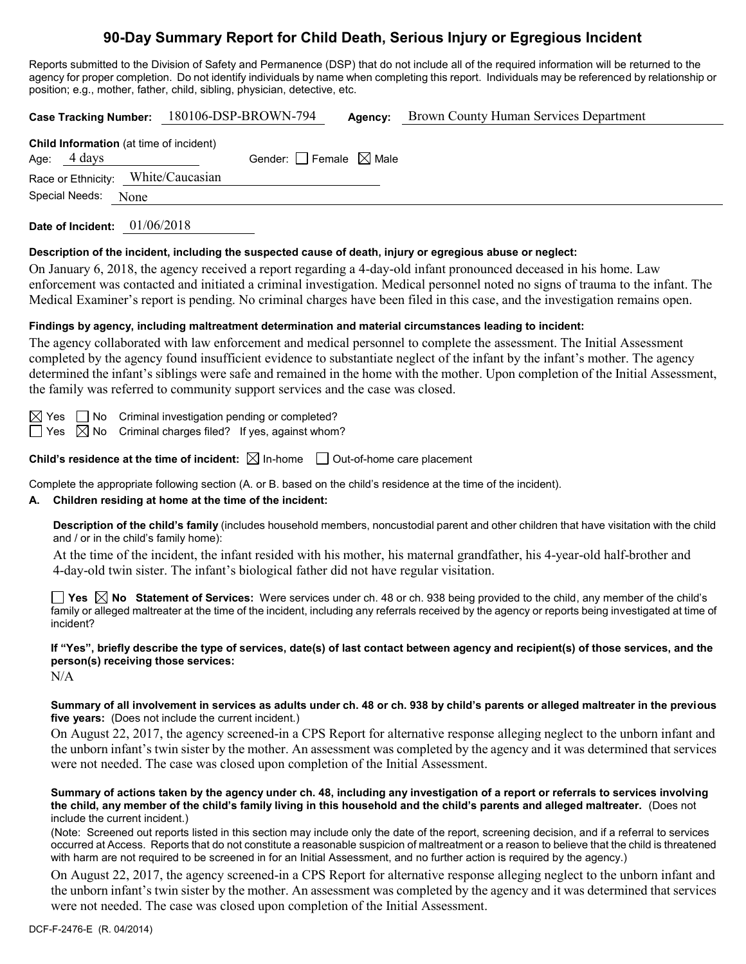# **90-Day Summary Report for Child Death, Serious Injury or Egregious Incident**

Reports submitted to the Division of Safety and Permanence (DSP) that do not include all of the required information will be returned to the agency for proper completion. Do not identify individuals by name when completing this report. Individuals may be referenced by relationship or position; e.g., mother, father, child, sibling, physician, detective, etc.

|                                                                           | Case Tracking Number: 180106-DSP-BROWN-794 | Agency: | Brown County Human Services Department |
|---------------------------------------------------------------------------|--------------------------------------------|---------|----------------------------------------|
| <b>Child Information</b> (at time of incident)<br>Age: $4 \, \text{days}$ | Gender: Female $\boxtimes$ Male            |         |                                        |
| Race or Ethnicity: White/Caucasian                                        |                                            |         |                                        |
| Special Needs:<br>None                                                    |                                            |         |                                        |
| 01/06/2018<br>Date of Incident:                                           |                                            |         |                                        |

#### **Description of the incident, including the suspected cause of death, injury or egregious abuse or neglect:**

On January 6, 2018, the agency received a report regarding a 4-day-old infant pronounced deceased in his home. Law enforcement was contacted and initiated a criminal investigation. Medical personnel noted no signs of trauma to the infant. The Medical Examiner's report is pending. No criminal charges have been filed in this case, and the investigation remains open.

#### **Findings by agency, including maltreatment determination and material circumstances leading to incident:**

The agency collaborated with law enforcement and medical personnel to complete the assessment. The Initial Assessment completed by the agency found insufficient evidence to substantiate neglect of the infant by the infant's mother. The agency determined the infant's siblings were safe and remained in the home with the mother. Upon completion of the Initial Assessment, the family was referred to community support services and the case was closed.

| and the state of the state of the state of the state of the state of the state of the state of the state of th |  |
|----------------------------------------------------------------------------------------------------------------|--|

 $\Box$  No Criminal investigation pending or completed?

 $\exists$  Yes  $\boxtimes$  No Criminal charges filed? If yes, against whom?

**Child's residence at the time of incident:**  $\boxtimes$  In-home  $\Box$  Out-of-home care placement

Complete the appropriate following section (A. or B. based on the child's residence at the time of the incident).

#### **A. Children residing at home at the time of the incident:**

**Description of the child's family** (includes household members, noncustodial parent and other children that have visitation with the child and / or in the child's family home):

At the time of the incident, the infant resided with his mother, his maternal grandfather, his 4-year-old half-brother and 4-day-old twin sister. The infant's biological father did not have regular visitation.

**Yes No Statement of Services:** Were services under ch. 48 or ch. 938 being provided to the child, any member of the child's family or alleged maltreater at the time of the incident, including any referrals received by the agency or reports being investigated at time of incident?

# **If "Yes", briefly describe the type of services, date(s) of last contact between agency and recipient(s) of those services, and the person(s) receiving those services:**

N/A

#### **Summary of all involvement in services as adults under ch. 48 or ch. 938 by child's parents or alleged maltreater in the previous five years:** (Does not include the current incident.)

On August 22, 2017, the agency screened-in a CPS Report for alternative response alleging neglect to the unborn infant and the unborn infant's twin sister by the mother. An assessment was completed by the agency and it was determined that services were not needed. The case was closed upon completion of the Initial Assessment.

#### **Summary of actions taken by the agency under ch. 48, including any investigation of a report or referrals to services involving the child, any member of the child's family living in this household and the child's parents and alleged maltreater.** (Does not include the current incident.)

(Note: Screened out reports listed in this section may include only the date of the report, screening decision, and if a referral to services occurred at Access. Reports that do not constitute a reasonable suspicion of maltreatment or a reason to believe that the child is threatened with harm are not required to be screened in for an Initial Assessment, and no further action is required by the agency.)

On August 22, 2017, the agency screened-in a CPS Report for alternative response alleging neglect to the unborn infant and the unborn infant's twin sister by the mother. An assessment was completed by the agency and it was determined that services were not needed. The case was closed upon completion of the Initial Assessment.